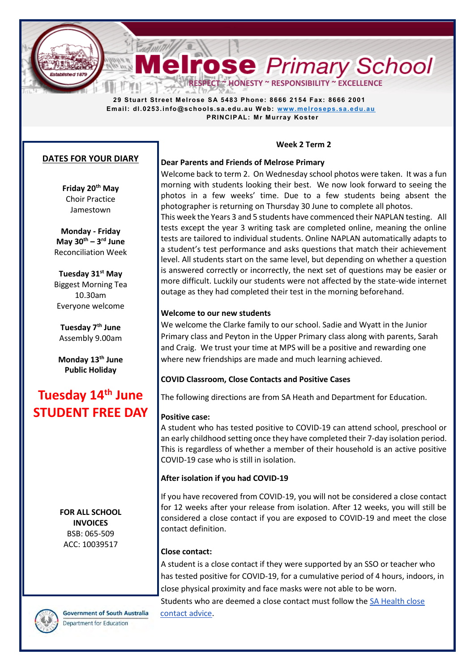**Melrose** Primary School **RESPECT ~ HONESTY ~ RESPONSIBILITY ~ EXCELLEI** 

 **29 Stuart Street Melrose SA 5483 Phone: 8666 2154 Fax: 8666 2001 Email: dl.0253.info@schools.sa.edu.au W eb: [www.melroseps.sa.edu.au](http://www.melroseps.sa.edu.au/) PRINCIPAL: Mr Murray Koster** 

# **DATES FOR YOUR DIARY**

**Friday 20th May**  Choir Practice Jamestown

**Monday - Friday May 30th – 3 rd June**  Reconciliation Week

**Tuesday 31st May**  Biggest Morning Tea 10.30am Everyone welcome

**Tuesday 7th June**  Assembly 9.00am

**Monday 13th June Public Holiday** 

# **Tuesday 14th June STUDENT FREE DAY**

**FOR ALL SCHOOL INVOICES**  BSB: 065-509 ACC: 10039517

**Government of South Australia** Department for Education

**Week 2 Term 2**

#### **Dear Parents and Friends of Melrose Primary**

Welcome back to term 2. On Wednesday school photos were taken. It was a fun morning with students looking their best. We now look forward to seeing the photos in a few weeks' time. Due to a few students being absent the photographer is returning on Thursday 30 June to complete all photos. This week the Years 3 and 5 students have commenced their NAPLAN testing. All

tests except the year 3 writing task are completed online, meaning the online tests are tailored to individual students. Online NAPLAN automatically adapts to a student's test performance and asks questions that match their achievement level. All students start on the same level, but depending on whether a question is answered correctly or incorrectly, the next set of questions may be easier or more difficult. Luckily our students were not affected by the state-wide internet outage as they had completed their test in the morning beforehand.

## **Welcome to our new students**

We welcome the Clarke family to our school. Sadie and Wyatt in the Junior Primary class and Peyton in the Upper Primary class along with parents, Sarah and Craig. We trust your time at MPS will be a positive and rewarding one where new friendships are made and much learning achieved.

## **COVID Classroom, Close Contacts and Positive Cases**

The following directions are from SA Heath and Department for Education.

## **Positive case:**

A student who has tested positive to COVID-19 can attend school, preschool or an early childhood setting once they have completed their 7-day isolation period. This is regardless of whether a member of their household is an active positive COVID-19 case who is still in isolation.

# **After isolation if you had COVID-19**

If you have recovered from COVID-19, you will not be considered a close contact for 12 weeks after your release from isolation. After 12 weeks, you will still be considered a close contact if you are exposed to COVID-19 and meet the close contact definition.

## **Close contact:**

A student is a close contact if they were supported by an SSO or teacher who has tested positive for COVID-19, for a cumulative period of 4 hours, indoors, in close physical proximity and face masks were not able to be worn.

Students who are deemed a close contact must follow the [SA Health close](https://www.sahealth.sa.gov.au/wps/wcm/connect/public+content/sa+health+internet/conditions/infectious+diseases/covid-19/cases+and+contacts/close+contact+advice/close+contact+advice)  [contact advice.](https://www.sahealth.sa.gov.au/wps/wcm/connect/public+content/sa+health+internet/conditions/infectious+diseases/covid-19/cases+and+contacts/close+contact+advice/close+contact+advice)

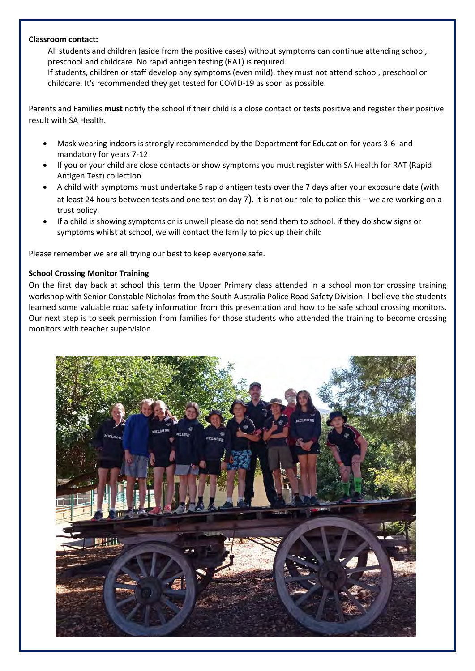## **Classroom contact:**

All students and children (aside from the positive cases) without symptoms can continue attending school, preschool and childcare. No rapid antigen testing (RAT) is required.

If students, children or staff develop any symptoms (even mild), they must not attend school, preschool or childcare. It's recommended they get tested for COVID-19 as soon as possible.

Parents and Families **must** notify the school if their child is a close contact or tests positive and register their positive result with SA Health.

- Mask wearing indoors is strongly recommended by the Department for Education for years 3-6 and mandatory for years 7-12
- If you or your child are close contacts or show symptoms you must register with SA Health for RAT (Rapid Antigen Test) collection
- A child with symptoms must undertake 5 [rapid antigen tests](https://www.sahealth.sa.gov.au/wps/wcm/connect/public+content/sa+health+internet/conditions/infectious+diseases/covid-19/testing+and+tracing/rapid+antigen+testing+rat+for+covid-19) over the 7 days after your exposure date (with at least 24 hours between tests and one test on day 7). It is not our role to police this – we are working on a trust policy.
- If a child is showing symptoms or is unwell please do not send them to school, if they do show signs or symptoms whilst at school, we will contact the family to pick up their child

Please remember we are all trying our best to keep everyone safe.

# **School Crossing Monitor Training**

On the first day back at school this term the Upper Primary class attended in a school monitor crossing training workshop with Senior Constable Nicholas from the South Australia Police Road Safety Division. I believe the students learned some valuable road safety information from this presentation and how to be safe school crossing monitors. Our next step is to seek permission from families for those students who attended the training to become crossing monitors with teacher supervision.

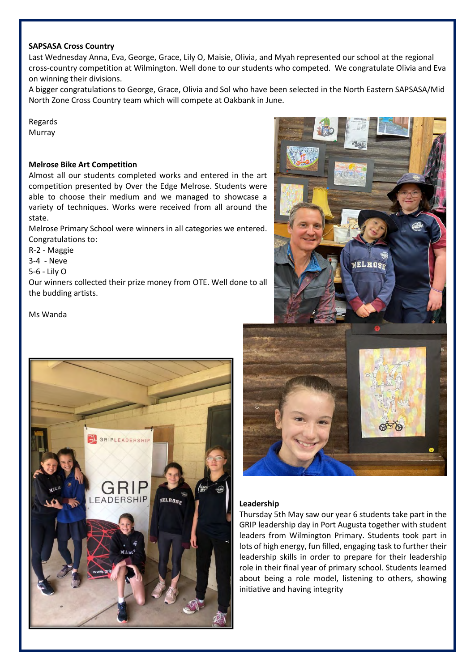#### **SAPSASA Cross Country**

Last Wednesday Anna, Eva, George, Grace, Lily O, Maisie, Olivia, and Myah represented our school at the regional cross-country competition at Wilmington. Well done to our students who competed. We congratulate Olivia and Eva on winning their divisions.

A bigger congratulations to George, Grace, Olivia and Sol who have been selected in the North Eastern SAPSASA/Mid North Zone Cross Country team which will compete at Oakbank in June.

Regards Murray

#### **Melrose Bike Art Competition**

Almost all our students completed works and entered in the art competition presented by Over the Edge Melrose. Students were able to choose their medium and we managed to showcase a variety of techniques. Works were received from all around the state.

Melrose Primary School were winners in all categories we entered. Congratulations to:

R-2 - Maggie

3-4 - Neve

5-6 - Lily O

Our winners collected their prize money from OTE. Well done to all the budding artists.

Ms Wanda





#### **Leadership**

Thursday 5th May saw our year 6 students take part in the GRIP leadership day in Port Augusta together with student leaders from Wilmington Primary. Students took part in lots of high energy, fun filled, engaging task to further their leadership skills in order to prepare for their leadership role in their final year of primary school. Students learned about being a role model, listening to others, showing initiative and having integrity